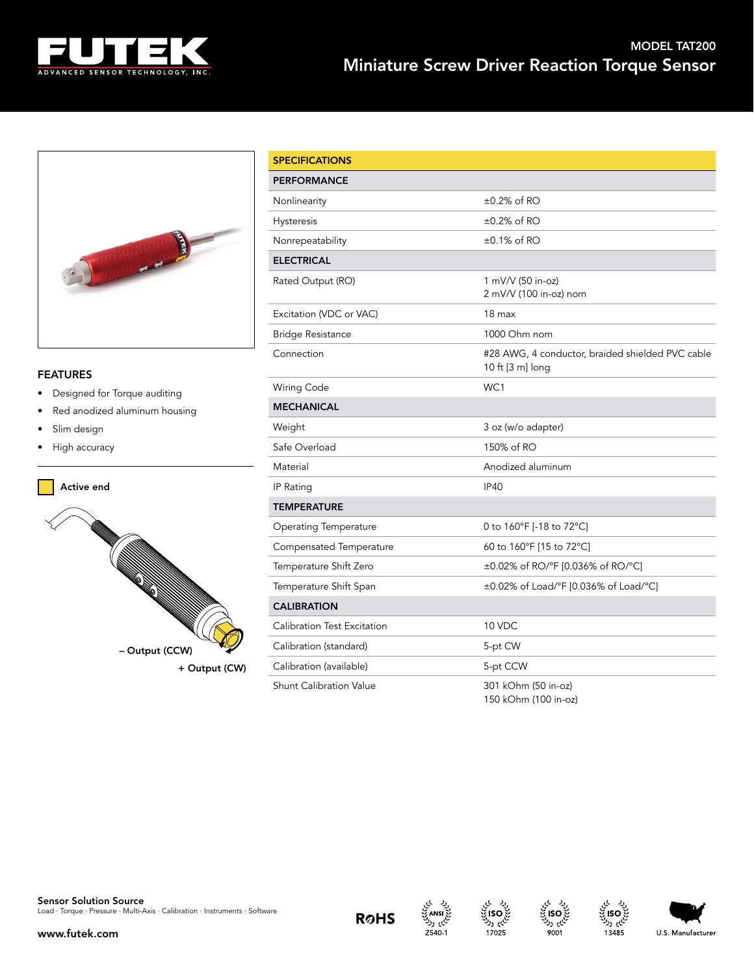



## FEATURES

- Designed for Torque auditing
- Red anodized aluminum housing
- Slim design
- High accuracy



| <b>SPECIFICATIONS</b>          |                                                                      |  |  |  |
|--------------------------------|----------------------------------------------------------------------|--|--|--|
| <b>PERFORMANCE</b>             |                                                                      |  |  |  |
| Nonlinearity                   | $\pm 0.2\%$ of RO                                                    |  |  |  |
| Hysteresis                     | $\pm 0.2\%$ of RO                                                    |  |  |  |
| Nonrepeatability               | $\pm 0.1\%$ of RO                                                    |  |  |  |
| <b>ELECTRICAL</b>              |                                                                      |  |  |  |
| Rated Output (RO)              | 1 mV/V (50 in-oz)<br>2 mV/V (100 in-oz) nom                          |  |  |  |
| Excitation (VDC or VAC)        | 18 <sub>max</sub>                                                    |  |  |  |
| <b>Bridge Resistance</b>       | 1000 Ohm nom                                                         |  |  |  |
| Connection                     | #28 AWG, 4 conductor, braided shielded PVC cable<br>10 ft [3 m] long |  |  |  |
| Wiring Code                    | WC1                                                                  |  |  |  |
| <b>MECHANICAL</b>              |                                                                      |  |  |  |
| Weight                         | 3 oz (w/o adapter)                                                   |  |  |  |
| Safe Overload                  | 150% of RO                                                           |  |  |  |
| Material                       | Anodized aluminum                                                    |  |  |  |
| IP Rating                      | IP40                                                                 |  |  |  |
| <b>TEMPERATURE</b>             |                                                                      |  |  |  |
| <b>Operating Temperature</b>   | 0 to 160°F [-18 to 72°C]                                             |  |  |  |
| Compensated Temperature        | 60 to 160°F [15 to 72°C]                                             |  |  |  |
| Temperature Shift Zero         | ±0.02% of RO/°F [0.036% of RO/°C]                                    |  |  |  |
| Temperature Shift Span         | ±0.02% of Load/°F [0.036% of Load/°C]                                |  |  |  |
| <b>CALIBRATION</b>             |                                                                      |  |  |  |
| Calibration Test Excitation    | 10 VDC                                                               |  |  |  |
| Calibration (standard)         | 5-pt CW                                                              |  |  |  |
| Calibration (available)        | 5-pt CCW                                                             |  |  |  |
| <b>Shunt Calibration Value</b> | 301 kOhm (50 in-oz)<br>150 kOhm (100 in-oz)                          |  |  |  |



www.futek.com

 $Z540-1$ 





ام ردا

13485



U.S. Manufacturer